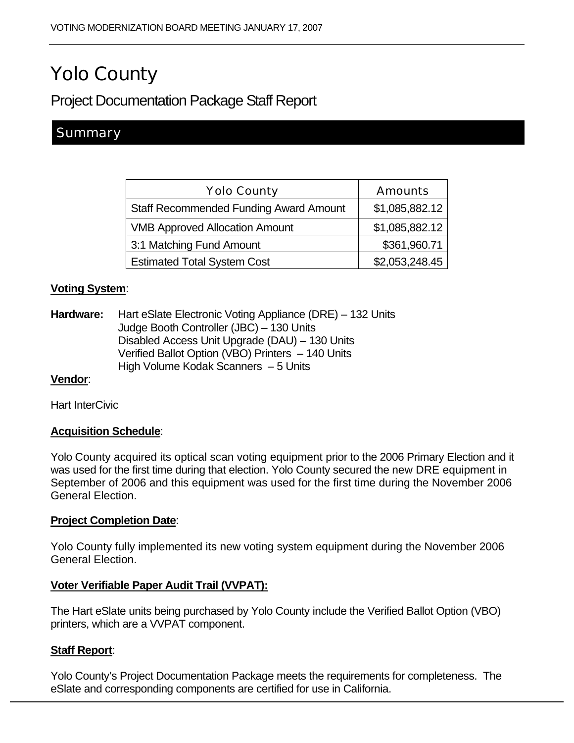# Yolo County

# Project Documentation Package Staff Report

# **Summary**

| <b>Yolo County</b>                            | <b>Amounts</b> |
|-----------------------------------------------|----------------|
| <b>Staff Recommended Funding Award Amount</b> | \$1,085,882.12 |
| <b>VMB Approved Allocation Amount</b>         | \$1,085,882.12 |
| 3:1 Matching Fund Amount                      | \$361,960.71   |
| <b>Estimated Total System Cost</b>            | \$2,053,248.45 |

# **Voting System**:

**Hardware:** Hart eSlate Electronic Voting Appliance (DRE) – 132 Units Judge Booth Controller (JBC) – 130 Units Disabled Access Unit Upgrade (DAU) – 130 Units Verified Ballot Option (VBO) Printers – 140 Units High Volume Kodak Scanners – 5 Units

# **Vendor**:

Hart InterCivic

# **Acquisition Schedule**:

Yolo County acquired its optical scan voting equipment prior to the 2006 Primary Election and it was used for the first time during that election. Yolo County secured the new DRE equipment in September of 2006 and this equipment was used for the first time during the November 2006 General Election.

#### **Project Completion Date**:

Yolo County fully implemented its new voting system equipment during the November 2006 General Election.

#### **Voter Verifiable Paper Audit Trail (VVPAT):**

The Hart eSlate units being purchased by Yolo County include the Verified Ballot Option (VBO) printers, which are a VVPAT component.

# **Staff Report**:

Yolo County's Project Documentation Package meets the requirements for completeness. The eSlate and corresponding components are certified for use in California.